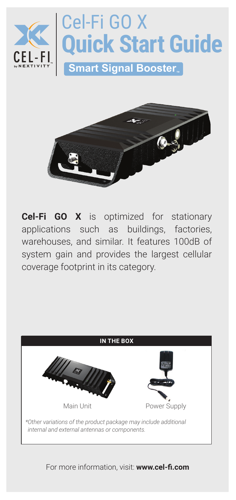



**Cel-Fi GO X** is optimized for stationary applications such as buildings, factories, warehouses, and similar. It features 100dB of system gain and provides the largest cellular coverage footprint in its category.



For more information, visit: **www.cel-fi.com**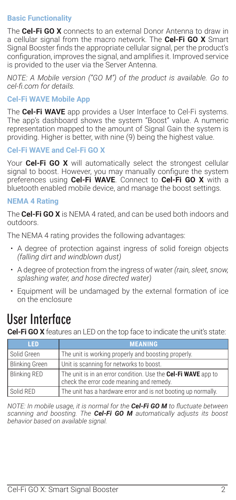# **Basic Functionality**

The **Cel-Fi GO X** connects to an external Donor Antenna to draw in a cellular signal from the macro network. The **Cel-Fi GO X** Smart Signal Booster finds the appropriate cellular signal, per the product's configuration, improves the signal, and amplifies it. Improved service is provided to the user via the Server Antenna.

*NOTE: A Mobile version ("GO M") of the product is available. Go to cel‑fi.com for details.*

# **Cel-Fi WAVE Mobile App**

The **Cel-Fi WAVE** app provides a User Interface to Cel-Fi systems. The app's dashboard shows the system "Boost" value. A numeric representation mapped to the amount of Signal Gain the system is providing. Higher is better, with nine (9) being the highest value.

# **Cel-Fi WAVE and Cel-Fi GO X**

Your **Cel-Fi GO X** will automatically select the strongest cellular signal to boost. However, you may manually configure the system preferences using **Cel-Fi WAVE**. Connect to **Cel-Fi GO X** with a bluetooth enabled mobile device, and manage the boost settings.

### **NEMA 4 Rating**

The **Cel-Fi GO X** is NEMA 4 rated, and can be used both indoors and outdoors.

The NEMA 4 rating provides the following advantages:

- A degree of protection against ingress of solid foreign objects *(falling dirt and windblown dust)*
- A degree of protection from the ingress of water *(rain, sleet, snow, splashing water, and hose directed water)*
- Equipment will be undamaged by the external formation of ice on the enclosure

# **User Interface**

**Cel-Fi GO X** features an LED on the top face to indicate the unit's state:

| LED                   | <b>MEANING</b>                                                                                            |
|-----------------------|-----------------------------------------------------------------------------------------------------------|
| Solid Green           | The unit is working properly and boosting properly.                                                       |
| <b>Blinking Green</b> | Unit is scanning for networks to boost.                                                                   |
| <b>Blinking RED</b>   | The unit is in an error condition. Use the Cel-Fi WAVE app to<br>check the error code meaning and remedy. |
| Solid RED             | The unit has a hardware error and is not booting up normally.                                             |

*NOTE: In mobile usage, it is normal for the Cel-Fi GO M to fluctuate between scanning and boosting. The Cel-Fi GO M automatically adjusts its boost behavior based on available signal.*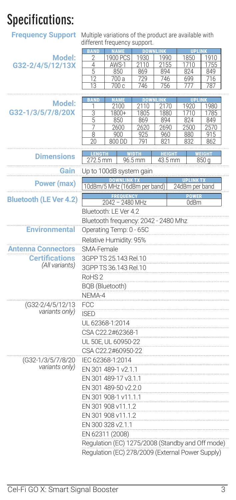# **Specifications:**

**Frequency Support** Multiple variations of the product are available with different frequency support.

|                               | <b>BAND</b>                                       | <b>NAME</b>                                      |           | <b>DOWNLINK</b> | <b>UPLINK</b>    |                  |  |  |
|-------------------------------|---------------------------------------------------|--------------------------------------------------|-----------|-----------------|------------------|------------------|--|--|
| Model:                        | 2                                                 | 1900 PCS                                         | 1930      | 1990            | 1850             | 1910             |  |  |
| G32-2/4/5/12/13X              | 4                                                 | AWS-1                                            | 2110      | 2155            | 1710             | 1755             |  |  |
|                               | 5                                                 |                                                  |           | 894             | 824              |                  |  |  |
|                               |                                                   | 850                                              | 869       |                 |                  | 849              |  |  |
|                               | 12                                                | 700 a                                            | 729       | 746             | 699              | 716              |  |  |
|                               | 13                                                | 700 с                                            | 746       | 756             | 777              | 787              |  |  |
|                               |                                                   |                                                  |           |                 |                  |                  |  |  |
| Model:                        | <b>BAND</b>                                       | <b>NAME</b>                                      | <b>DO</b> |                 | <b>UPI</b>       |                  |  |  |
|                               | 1                                                 | 2100                                             | 2110      | 2170            | 1920             | 1980             |  |  |
| G32-1/3/5/7/8/20X             | $\overline{3}$                                    | 1800+                                            | 1805      | 1880            | 1710             | 1785             |  |  |
|                               | 5                                                 | 850                                              | 869       | 894             | 824              | 849              |  |  |
|                               | 7                                                 | 2600                                             | 2620      | 2690            | 2500             | 2570             |  |  |
|                               | 8                                                 | 900                                              | 925       | 960             | 880              | 915              |  |  |
|                               | 20                                                | 800 DD                                           | 791       | 821             | 832              | 862              |  |  |
|                               |                                                   |                                                  |           |                 |                  |                  |  |  |
|                               | FIGI<br>EMA 1                                     |                                                  |           |                 |                  |                  |  |  |
| <b>Dimensions</b>             | 272.5 mm                                          |                                                  | 96.5 mm   | 43.5 mm         |                  | 850 <sub>g</sub> |  |  |
|                               |                                                   |                                                  |           |                 |                  |                  |  |  |
| Gain                          |                                                   | Up to 100dB system gain                          |           |                 |                  |                  |  |  |
|                               |                                                   |                                                  |           |                 | <b>UPLINK TX</b> |                  |  |  |
| <b>Power (max)</b>            |                                                   | 10dBm/5 MHz (16dBm per band)                     |           |                 | 24dBm per band   |                  |  |  |
|                               |                                                   |                                                  |           |                 |                  |                  |  |  |
| <b>Bluetooth (LE Ver 4.2)</b> |                                                   |                                                  |           |                 |                  |                  |  |  |
|                               |                                                   | 2042 - 2480 MHz                                  |           |                 | 0dBm             |                  |  |  |
|                               |                                                   | Bluetooth: LE Ver 4.2                            |           |                 |                  |                  |  |  |
|                               |                                                   | Bluetooth frequency: 2042 - 2480 Mhz             |           |                 |                  |                  |  |  |
|                               |                                                   |                                                  |           |                 |                  |                  |  |  |
| <b>Environmental</b>          | Operating Temp: 0 - 65C<br>Relative Humidity: 95% |                                                  |           |                 |                  |                  |  |  |
|                               |                                                   |                                                  |           |                 |                  |                  |  |  |
|                               |                                                   |                                                  |           |                 |                  |                  |  |  |
| Antenna Connectors            | SMA-Female                                        |                                                  |           |                 |                  |                  |  |  |
| <b>Certifications</b>         | 3GPP TS 25.143 Rel.10                             |                                                  |           |                 |                  |                  |  |  |
| (All variants)                |                                                   |                                                  |           |                 |                  |                  |  |  |
|                               | 3GPP TS 36.143 Rel.10                             |                                                  |           |                 |                  |                  |  |  |
|                               | RoHS <sub>2</sub>                                 |                                                  |           |                 |                  |                  |  |  |
|                               |                                                   |                                                  |           |                 |                  |                  |  |  |
|                               | BQB (Bluetooth)                                   |                                                  |           |                 |                  |                  |  |  |
|                               | NEMA-4                                            |                                                  |           |                 |                  |                  |  |  |
| (G32-2/4/5/12/13              | FCC                                               |                                                  |           |                 |                  |                  |  |  |
|                               |                                                   |                                                  |           |                 |                  |                  |  |  |
| variants only)                | <b>ISED</b>                                       |                                                  |           |                 |                  |                  |  |  |
|                               | UL 62368-1:2014                                   |                                                  |           |                 |                  |                  |  |  |
|                               |                                                   |                                                  |           |                 |                  |                  |  |  |
|                               | CSA C22.2#62368-1                                 |                                                  |           |                 |                  |                  |  |  |
|                               | UL 50E, UL 60950-22                               |                                                  |           |                 |                  |                  |  |  |
|                               | CSA C22.2#60950-22                                |                                                  |           |                 |                  |                  |  |  |
|                               |                                                   |                                                  |           |                 |                  |                  |  |  |
| (G32-1/3/5/7/8/20             | IEC 62368-1:2014                                  |                                                  |           |                 |                  |                  |  |  |
| variants only)                | EN 301 489-1 v2.1.1                               |                                                  |           |                 |                  |                  |  |  |
|                               |                                                   |                                                  |           |                 |                  |                  |  |  |
|                               |                                                   | EN 301 489-17 v3.1.1                             |           |                 |                  |                  |  |  |
|                               | EN 301 489-50 v2.2.0                              |                                                  |           |                 |                  |                  |  |  |
|                               |                                                   |                                                  |           |                 |                  |                  |  |  |
|                               | EN 301 908-1 v11.1.1                              |                                                  |           |                 |                  |                  |  |  |
|                               | EN 301 908 v11.1.2                                |                                                  |           |                 |                  |                  |  |  |
|                               |                                                   |                                                  |           |                 |                  |                  |  |  |
|                               | EN 301 908 v11.1.2                                |                                                  |           |                 |                  |                  |  |  |
|                               | EN 300 328 v2.1.1                                 |                                                  |           |                 |                  |                  |  |  |
|                               | EN 62311 (2008)                                   |                                                  |           |                 |                  |                  |  |  |
|                               |                                                   |                                                  |           |                 |                  |                  |  |  |
|                               |                                                   | Regulation (EC) 1275/2008 (Standby and Off mode) |           |                 |                  |                  |  |  |
|                               |                                                   |                                                  |           |                 |                  |                  |  |  |
|                               |                                                   | Regulation (EC) 278/2009 (External Power Supply) |           |                 |                  |                  |  |  |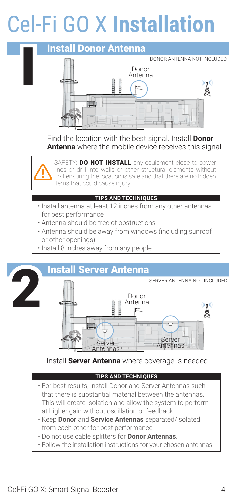# Cel-Fi GO X **Installation**



Find the location with the best signal. Install **Donor Antenna** where the mobile device receives this signal.



SAFETY: **DO NOT INSTALL** any equipment close to power lines or drill into walls or other structural elements without first ensuring the location is safe and that there are no hidden items that could cause injury.

### **TIPS AND TECHNIQUES**

- Install antenna at least 12 inches from any other antennas for best performance
- Antenna should be free of obstructions
- Antenna should be away from windows (including sunroof or other openings)
- Install 8 inches away from any people



Install **Server Antenna** where coverage is needed.

### **TIPS AND TECHNIQUES**

- For best results, install Donor and Server Antennas such that there is substantial material between the antennas. This will create isolation and allow the system to perform at higher gain without oscillation or feedback.
- Keep **Donor** and **Service Antennas** separated/isolated from each other for best performance
- Do not use cable splitters for **Donor Antennas**.
- Follow the installation instructions for your chosen antennas.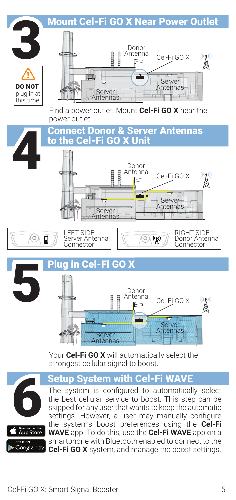

# **Setup System with Cel-Fi WAY**



Download on the<br>App Store Google play